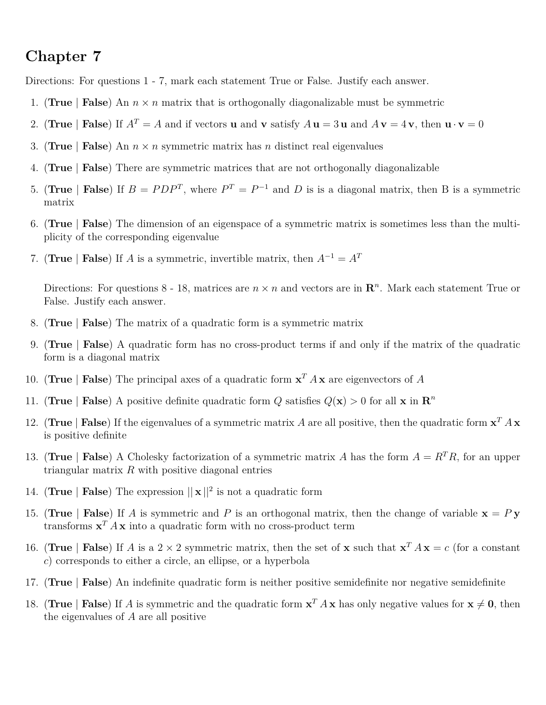## **Chapter 7**

Directions: For questions 1 - 7, mark each statement True or False. Justify each answer.

- 1. (**True** | **False**) An  $n \times n$  matrix that is orthogonally diagonalizable must be symmetric
- 2. (**True** | **False**) If  $A^T = A$  and if vectors **u** and **v** satisfy  $A \mathbf{u} = 3 \mathbf{u}$  and  $A \mathbf{v} = 4 \mathbf{v}$ , then  $\mathbf{u} \cdot \mathbf{v} = 0$
- 3. (**True** | **False**) An  $n \times n$  symmetric matrix has *n* distinct real eigenvalues
- 4. (**True** | **False**) There are symmetric matrices that are not orthogonally diagonalizable
- 5. (**True** | **False**) If  $B = PDP^T$ , where  $P^T = P^{-1}$  and D is is a diagonal matrix, then B is a symmetric matrix
- 6. (**True** | **False**) The dimension of an eigenspace of a symmetric matrix is sometimes less than the multiplicity of the corresponding eigenvalue
- 7. (**True** | **False**) If *A* is a symmetric, invertible matrix, then  $A^{-1} = A^T$

Directions: For questions 8 - 18, matrices are  $n \times n$  and vectors are in  $\mathbb{R}^n$ . Mark each statement True or False. Justify each answer.

- 8. (**True** | **False**) The matrix of a quadratic form is a symmetric matrix
- 9. (**True** | **False**) A quadratic form has no cross-product terms if and only if the matrix of the quadratic form is a diagonal matrix
- 10. (**True** | **False**) The principal axes of a quadratic form **x** *<sup>T</sup> A* **x** are eigenvectors of *A*
- 11. (**True** | **False**) A positive definite quadratic form *Q* satisfies  $Q(\mathbf{x}) > 0$  for all **x** in  $\mathbf{R}^n$
- 12. (True | **False**) If the eigenvalues of a symmetric matrix *A* are all positive, then the quadratic form  $x^T A x$ is positive definite
- 13. (**True** | **False**) A Cholesky factorization of a symmetric matrix *A* has the form  $A = R^T R$ , for an upper triangular matrix *R* with positive diagonal entries
- 14. (**True** | **False**) The expression  $||\mathbf{x}||^2$  is not a quadratic form
- 15. (**True** | **False**) If *A* is symmetric and *P* is an orthogonal matrix, then the change of variable  $\mathbf{x} = P \mathbf{y}$ transforms  $\mathbf{x}^T A \mathbf{x}$  into a quadratic form with no cross-product term
- 16. (**True** | **False**) If *A* is a 2 × 2 symmetric matrix, then the set of **x** such that  $\mathbf{x}^T A \mathbf{x} = c$  (for a constant *c*) corresponds to either a circle, an ellipse, or a hyperbola
- 17. (**True** | **False**) An indefinite quadratic form is neither positive semidefinite nor negative semidefinite
- 18. (True | **False**) If *A* is symmetric and the quadratic form  $\mathbf{x}^T A \mathbf{x}$  has only negative values for  $\mathbf{x} \neq \mathbf{0}$ , then the eigenvalues of *A* are all positive